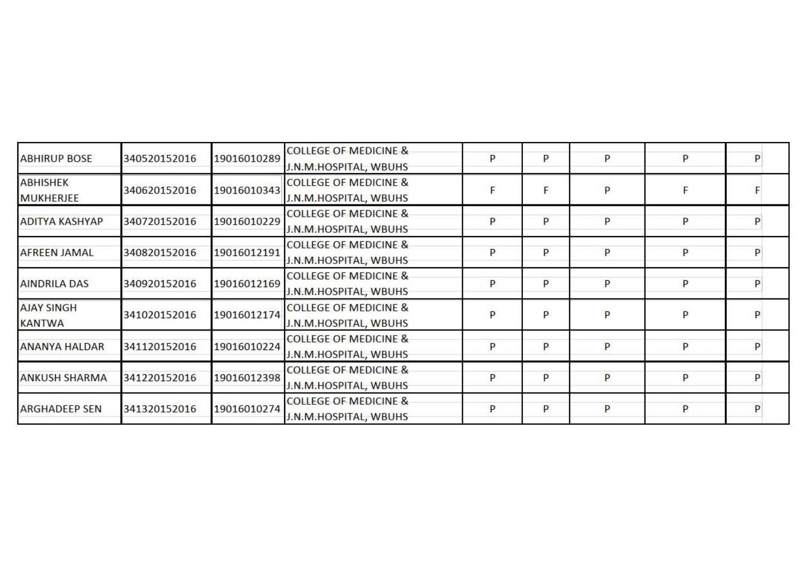| <b>ABHIRUP BOSE</b>   | 340520152016 | 19016010289 | <b>COLLEGE OF MEDICINE &amp;</b> | P | P | P | P |  |
|-----------------------|--------------|-------------|----------------------------------|---|---|---|---|--|
|                       |              |             | J.N.M.HOSPITAL, WBUHS            |   |   |   |   |  |
| <b>ABHISHEK</b>       | 340620152016 | 19016010343 | <b>COLLEGE OF MEDICINE &amp;</b> |   |   | P |   |  |
| <b>MUKHERJEE</b>      |              |             | J.N.M.HOSPITAL, WBUHS            |   |   |   |   |  |
|                       |              | 19016010229 | <b>COLLEGE OF MEDICINE &amp;</b> | P | P | P | P |  |
| <b>ADITYA KASHYAP</b> | 340720152016 |             | J.N.M.HOSPITAL, WBUHS            |   |   |   |   |  |
|                       |              |             | <b>COLLEGE OF MEDICINE &amp;</b> | P | P | P | P |  |
| <b>AFREEN JAMAL</b>   | 340820152016 | 19016012191 | J.N.M.HOSPITAL, WBUHS            |   |   |   |   |  |
|                       | 340920152016 | 19016012169 | <b>COLLEGE OF MEDICINE &amp;</b> | P | P | P | P |  |
| <b>AINDRILA DAS</b>   |              |             | J.N.M.HOSPITAL, WBUHS            |   |   |   |   |  |
| <b>AJAY SINGH</b>     | 341020152016 | 19016012174 | <b>COLLEGE OF MEDICINE &amp;</b> | P | p | P | P |  |
| <b>KANTWA</b>         |              |             | J.N.M.HOSPITAL, WBUHS            |   |   |   |   |  |
|                       |              |             | <b>COLLEGE OF MEDICINE &amp;</b> | P | P |   | P |  |
| <b>ANANYA HALDAR</b>  | 341120152016 | 19016010224 | J.N.M.HOSPITAL, WBUHS            |   |   | P |   |  |
|                       |              |             | <b>COLLEGE OF MEDICINE &amp;</b> | P | P |   |   |  |
| <b>ANKUSH SHARMA</b>  | 341220152016 | 19016012398 | J.N.M.HOSPITAL, WBUHS            |   |   | P | P |  |
|                       |              |             | <b>COLLEGE OF MEDICINE &amp;</b> |   |   | P | P |  |
| <b>ARGHADEEP SEN</b>  | 341320152016 | 19016010274 | J.N.M.HOSPITAL, WBUHS            | P | P |   |   |  |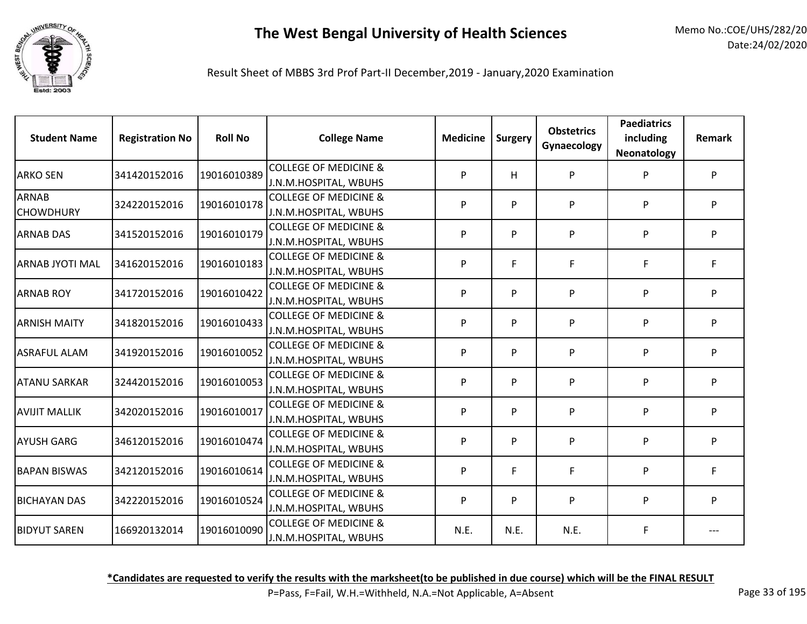

Result Sheet of MBBS 3rd Prof Part-II December,2019 - January,2020 Examination

| <b>Student Name</b>              | <b>Registration No</b> | <b>Roll No</b> | <b>College Name</b>                                       | <b>Medicine</b> | <b>Surgery</b> | <b>Obstetrics</b><br>Gynaecology | <b>Paediatrics</b><br>including<br>Neonatology | <b>Remark</b> |
|----------------------------------|------------------------|----------------|-----------------------------------------------------------|-----------------|----------------|----------------------------------|------------------------------------------------|---------------|
| <b>ARKO SEN</b>                  | 341420152016           | 19016010389    | <b>COLLEGE OF MEDICINE &amp;</b><br>J.N.M.HOSPITAL, WBUHS | P               | H              | P                                | P                                              | P             |
| <b>ARNAB</b><br><b>CHOWDHURY</b> | 324220152016           | 19016010178    | <b>COLLEGE OF MEDICINE &amp;</b><br>J.N.M.HOSPITAL, WBUHS | P               | P              | P                                | P                                              | P             |
| <b>ARNAB DAS</b>                 | 341520152016           | 19016010179    | <b>COLLEGE OF MEDICINE &amp;</b><br>J.N.M.HOSPITAL, WBUHS | P               | P              | P                                | P                                              | P             |
| ARNAB JYOTI MAL                  | 341620152016           | 19016010183    | <b>COLLEGE OF MEDICINE &amp;</b><br>J.N.M.HOSPITAL, WBUHS | P               | F.             | F                                | F                                              | F.            |
| <b>ARNAB ROY</b>                 | 341720152016           | 19016010422    | <b>COLLEGE OF MEDICINE &amp;</b><br>J.N.M.HOSPITAL, WBUHS | P               | P              | P                                | P                                              | P             |
| <b>ARNISH MAITY</b>              | 341820152016           | 19016010433    | <b>COLLEGE OF MEDICINE &amp;</b><br>J.N.M.HOSPITAL, WBUHS | P               | P              | P                                | P                                              | P             |
| <b>ASRAFUL ALAM</b>              | 341920152016           | 19016010052    | <b>COLLEGE OF MEDICINE &amp;</b><br>J.N.M.HOSPITAL, WBUHS | P               | P              | P                                | P                                              | P             |
| <b>ATANU SARKAR</b>              | 324420152016           | 19016010053    | <b>COLLEGE OF MEDICINE &amp;</b><br>J.N.M.HOSPITAL, WBUHS | P               | P              | P                                | P                                              | P             |
| <b>AVIJIT MALLIK</b>             | 342020152016           | 19016010017    | <b>COLLEGE OF MEDICINE &amp;</b><br>J.N.M.HOSPITAL, WBUHS | P               | P              | P                                | P                                              | P             |
| <b>AYUSH GARG</b>                | 346120152016           | 19016010474    | <b>COLLEGE OF MEDICINE &amp;</b><br>J.N.M.HOSPITAL, WBUHS | P               | P              | P                                | P                                              | P             |
| <b>BAPAN BISWAS</b>              | 342120152016           | 19016010614    | <b>COLLEGE OF MEDICINE &amp;</b><br>J.N.M.HOSPITAL, WBUHS | P               | F              | F                                | P                                              | F             |
| <b>BICHAYAN DAS</b>              | 342220152016           | 19016010524    | <b>COLLEGE OF MEDICINE &amp;</b><br>J.N.M.HOSPITAL, WBUHS | P               | P              | P                                | P                                              | P             |
| <b>BIDYUT SAREN</b>              | 166920132014           | 19016010090    | <b>COLLEGE OF MEDICINE &amp;</b><br>J.N.M.HOSPITAL, WBUHS | N.E.            | N.E.           | N.E.                             | F                                              |               |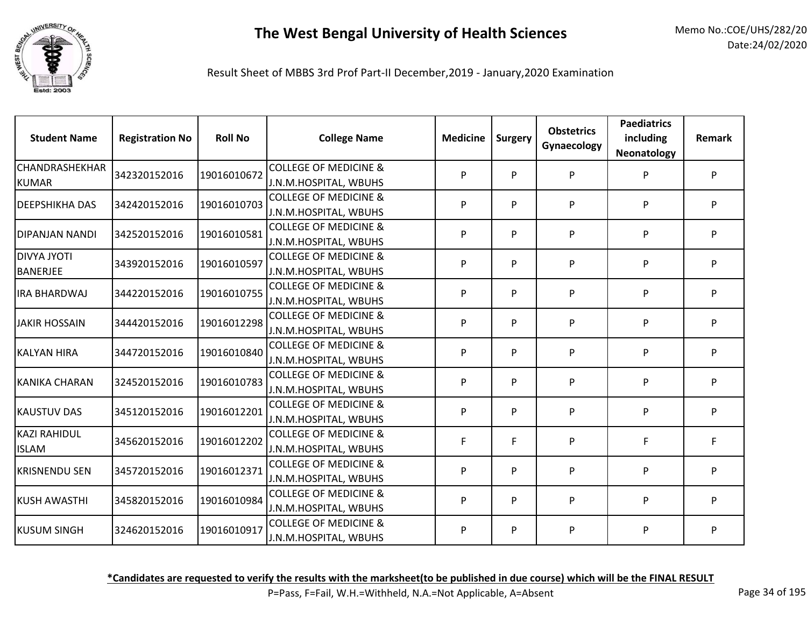

Result Sheet of MBBS 3rd Prof Part-II December,2019 - January,2020 Examination

| <b>Student Name</b>                   | <b>Registration No</b> | <b>Roll No</b> | <b>College Name</b>                                       | <b>Medicine</b> | Surgery | <b>Obstetrics</b><br>Gynaecology | <b>Paediatrics</b><br>including<br>Neonatology | <b>Remark</b> |
|---------------------------------------|------------------------|----------------|-----------------------------------------------------------|-----------------|---------|----------------------------------|------------------------------------------------|---------------|
| CHANDRASHEKHAR<br><b>KUMAR</b>        | 342320152016           | 19016010672    | <b>COLLEGE OF MEDICINE &amp;</b><br>J.N.M.HOSPITAL, WBUHS | Þ               | P       | P                                | P                                              | P             |
| <b>DEEPSHIKHA DAS</b>                 | 342420152016           | 19016010703    | <b>COLLEGE OF MEDICINE &amp;</b><br>J.N.M.HOSPITAL, WBUHS | P               | P       | P                                | P                                              | P             |
| DIPANJAN NANDI                        | 342520152016           | 19016010581    | <b>COLLEGE OF MEDICINE &amp;</b><br>J.N.M.HOSPITAL, WBUHS | P               | P       | P                                | P                                              | P             |
| <b>DIVYA JYOTI</b><br><b>BANERJEE</b> | 343920152016           | 19016010597    | <b>COLLEGE OF MEDICINE &amp;</b><br>J.N.M.HOSPITAL, WBUHS | P               | P       | P                                | P                                              | P             |
| <b>IRA BHARDWAJ</b>                   | 344220152016           | 19016010755    | <b>COLLEGE OF MEDICINE &amp;</b><br>J.N.M.HOSPITAL, WBUHS | P               | P       | P                                | P                                              | P             |
| <b>JAKIR HOSSAIN</b>                  | 344420152016           | 19016012298    | <b>COLLEGE OF MEDICINE &amp;</b><br>J.N.M.HOSPITAL, WBUHS | P               | P       | P                                | P                                              | P             |
| <b>KALYAN HIRA</b>                    | 344720152016           | 19016010840    | <b>COLLEGE OF MEDICINE &amp;</b><br>J.N.M.HOSPITAL, WBUHS | P               | P       | P                                | P                                              | P             |
| <b>KANIKA CHARAN</b>                  | 324520152016           | 19016010783    | <b>COLLEGE OF MEDICINE &amp;</b><br>J.N.M.HOSPITAL, WBUHS | P               | P       | P                                | P                                              | P             |
| <b>KAUSTUV DAS</b>                    | 345120152016           | 19016012201    | <b>COLLEGE OF MEDICINE &amp;</b><br>J.N.M.HOSPITAL, WBUHS | P               | P       | P                                | P                                              | P             |
| <b>KAZI RAHIDUL</b><br><b>ISLAM</b>   | 345620152016           | 19016012202    | <b>COLLEGE OF MEDICINE &amp;</b><br>J.N.M.HOSPITAL, WBUHS | F               | F       | P                                | F                                              | F.            |
| <b>KRISNENDU SEN</b>                  | 345720152016           | 19016012371    | <b>COLLEGE OF MEDICINE &amp;</b><br>J.N.M.HOSPITAL, WBUHS | P               | P       | P                                | P                                              | P             |
| <b>KUSH AWASTHI</b>                   | 345820152016           | 19016010984    | <b>COLLEGE OF MEDICINE &amp;</b><br>J.N.M.HOSPITAL, WBUHS | P               | P       | P                                | P                                              | P             |
| <b>KUSUM SINGH</b>                    | 324620152016           | 19016010917    | <b>COLLEGE OF MEDICINE &amp;</b><br>J.N.M.HOSPITAL, WBUHS | P               | P       | P                                | P                                              | P             |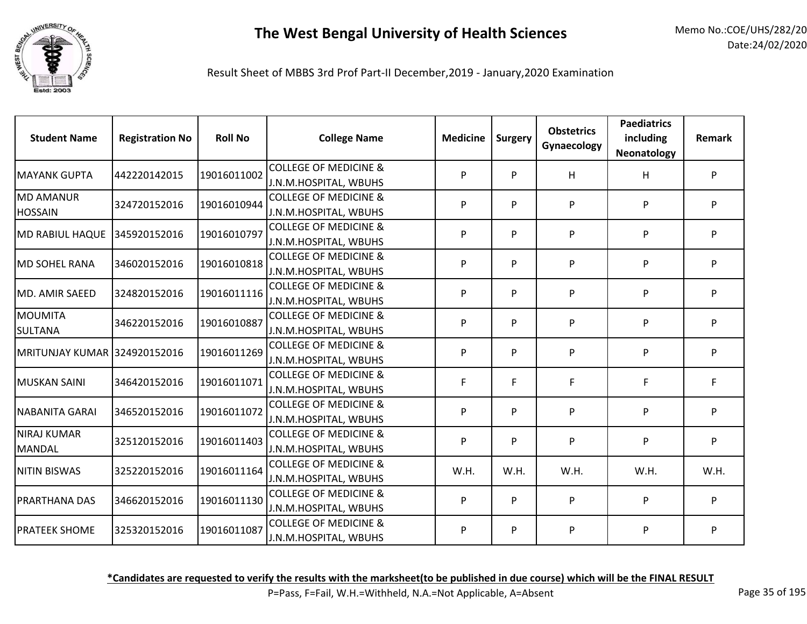

Result Sheet of MBBS 3rd Prof Part-II December,2019 - January,2020 Examination

| <b>Student Name</b>                 | <b>Registration No</b> | <b>Roll No</b> | <b>College Name</b>                                       | <b>Medicine</b> | Surgery | <b>Obstetrics</b><br>Gynaecology | <b>Paediatrics</b><br>including<br>Neonatology | Remark |
|-------------------------------------|------------------------|----------------|-----------------------------------------------------------|-----------------|---------|----------------------------------|------------------------------------------------|--------|
| <b>MAYANK GUPTA</b>                 | 442220142015           | 19016011002    | <b>COLLEGE OF MEDICINE &amp;</b><br>J.N.M.HOSPITAL, WBUHS | P               | P       | H                                | H                                              | P      |
| <b>MD AMANUR</b><br><b>HOSSAIN</b>  | 324720152016           | 19016010944    | <b>COLLEGE OF MEDICINE &amp;</b><br>J.N.M.HOSPITAL, WBUHS | P               | P       | P                                | P                                              | P      |
| <b>MD RABIUL HAQUE</b>              | 345920152016           | 19016010797    | <b>COLLEGE OF MEDICINE &amp;</b><br>J.N.M.HOSPITAL, WBUHS | P               | P       | P                                | P                                              | P      |
| IMD SOHEL RANA                      | 346020152016           | 19016010818    | <b>COLLEGE OF MEDICINE &amp;</b><br>J.N.M.HOSPITAL, WBUHS | P               | P       | P                                | P                                              | P      |
| MD. AMIR SAEED                      | 324820152016           | 19016011116    | <b>COLLEGE OF MEDICINE &amp;</b><br>J.N.M.HOSPITAL, WBUHS | P               | P       | P                                | P                                              | P      |
| <b>MOUMITA</b><br><b>SULTANA</b>    | 346220152016           | 19016010887    | <b>COLLEGE OF MEDICINE &amp;</b><br>J.N.M.HOSPITAL, WBUHS | P               | P       | P                                | P                                              | P      |
| MRITUNJAY KUMAR 324920152016        |                        | 19016011269    | <b>COLLEGE OF MEDICINE &amp;</b><br>J.N.M.HOSPITAL, WBUHS | P               | P       | P                                | P                                              | P      |
| MUSKAN SAINI                        | 346420152016           | 19016011071    | <b>COLLEGE OF MEDICINE &amp;</b><br>J.N.M.HOSPITAL, WBUHS | F               | F       | F                                | F.                                             | F      |
| NABANITA GARAI                      | 346520152016           | 19016011072    | <b>COLLEGE OF MEDICINE &amp;</b><br>J.N.M.HOSPITAL, WBUHS | P               | P       | P                                | P                                              | P      |
| <b>NIRAJ KUMAR</b><br><b>MANDAL</b> | 325120152016           | 19016011403    | <b>COLLEGE OF MEDICINE &amp;</b><br>J.N.M.HOSPITAL, WBUHS | P               | P       | P                                | P                                              | P      |
| <b>NITIN BISWAS</b>                 | 325220152016           | 19016011164    | <b>COLLEGE OF MEDICINE &amp;</b><br>J.N.M.HOSPITAL, WBUHS | W.H.            | W.H.    | W.H.                             | W.H.                                           | W.H.   |
| <b>PRARTHANA DAS</b>                | 346620152016           | 19016011130    | <b>COLLEGE OF MEDICINE &amp;</b><br>J.N.M.HOSPITAL, WBUHS | P               | P       | P                                | P                                              | P      |
| <b>PRATEEK SHOME</b>                | 325320152016           | 19016011087    | <b>COLLEGE OF MEDICINE &amp;</b><br>J.N.M.HOSPITAL, WBUHS | P               | P       | P                                | P                                              | P      |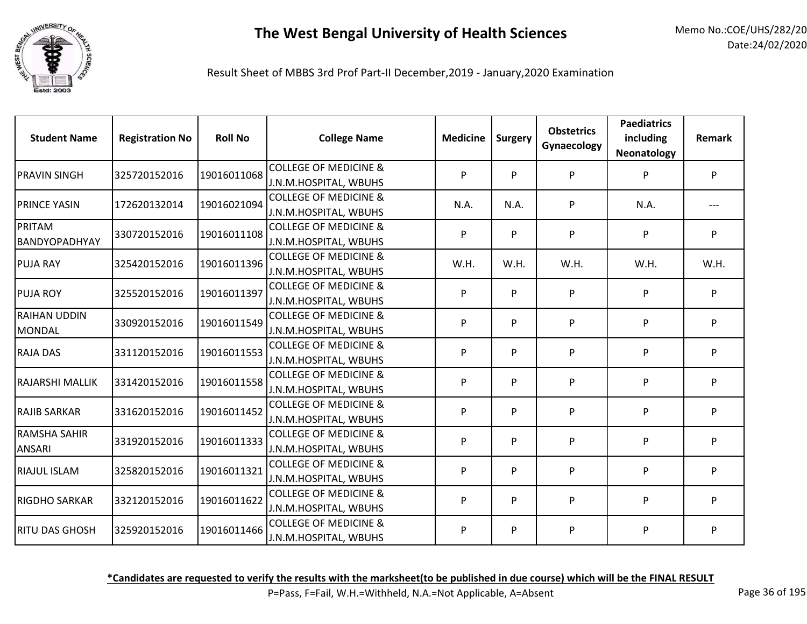

Result Sheet of MBBS 3rd Prof Part-II December,2019 - January,2020 Examination

| <b>Student Name</b>    | <b>Registration No</b> | <b>Roll No</b> | <b>College Name</b>                                       | <b>Medicine</b> | <b>Surgery</b> | <b>Obstetrics</b><br>Gynaecology | <b>Paediatrics</b><br>including<br>Neonatology | <b>Remark</b> |
|------------------------|------------------------|----------------|-----------------------------------------------------------|-----------------|----------------|----------------------------------|------------------------------------------------|---------------|
| <b>PRAVIN SINGH</b>    | 325720152016           | 19016011068    | <b>COLLEGE OF MEDICINE &amp;</b>                          | P               | P              | P                                | P                                              | P.            |
|                        |                        |                | J.N.M.HOSPITAL, WBUHS                                     |                 |                |                                  |                                                |               |
| <b>PRINCE YASIN</b>    | 172620132014           | 19016021094    | <b>COLLEGE OF MEDICINE &amp;</b><br>J.N.M.HOSPITAL, WBUHS | N.A.            | N.A.           | P                                | N.A.                                           |               |
| PRITAM                 | 330720152016           | 19016011108    | <b>COLLEGE OF MEDICINE &amp;</b>                          | P               | P              | P                                | P                                              | P.            |
| <b>BANDYOPADHYAY</b>   |                        |                | J.N.M.HOSPITAL, WBUHS                                     |                 |                |                                  |                                                |               |
| <b>PUJA RAY</b>        | 325420152016           | 19016011396    | <b>COLLEGE OF MEDICINE &amp;</b>                          | W.H.            | W.H.           | W.H.                             | W.H.                                           | W.H.          |
|                        |                        |                | J.N.M.HOSPITAL, WBUHS                                     |                 |                |                                  |                                                |               |
| <b>PUJA ROY</b>        | 325520152016           | 19016011397    | <b>COLLEGE OF MEDICINE &amp;</b>                          | P               | P              | P                                | P                                              | P             |
|                        |                        |                | J.N.M.HOSPITAL, WBUHS                                     |                 |                |                                  |                                                |               |
| <b>RAIHAN UDDIN</b>    | 330920152016           | 19016011549    | <b>COLLEGE OF MEDICINE &amp;</b>                          | P               | P              | P                                | P                                              | P.            |
| <b>MONDAL</b>          |                        |                | J.N.M.HOSPITAL, WBUHS                                     |                 |                |                                  |                                                |               |
| <b>RAJA DAS</b>        | 331120152016           | 19016011553    | <b>COLLEGE OF MEDICINE &amp;</b>                          | P               | P              | P                                | P                                              | P.            |
|                        |                        |                | J.N.M.HOSPITAL, WBUHS                                     |                 |                |                                  |                                                |               |
| <b>RAJARSHI MALLIK</b> | 331420152016           | 19016011558    | <b>COLLEGE OF MEDICINE &amp;</b>                          | P               | P              | P                                | P                                              | P             |
|                        |                        |                | J.N.M.HOSPITAL, WBUHS                                     |                 |                |                                  |                                                |               |
| <b>RAJIB SARKAR</b>    | 331620152016           | 19016011452    | <b>COLLEGE OF MEDICINE &amp;</b>                          | P               | P              | P                                | P                                              | P             |
|                        |                        |                | J.N.M.HOSPITAL, WBUHS                                     |                 |                |                                  |                                                |               |
| <b>RAMSHA SAHIR</b>    | 331920152016           | 19016011333    | <b>COLLEGE OF MEDICINE &amp;</b>                          | P               | P              | P                                | P                                              | P             |
| <b>ANSARI</b>          |                        |                | J.N.M.HOSPITAL, WBUHS                                     |                 |                |                                  |                                                |               |
| <b>RIAJUL ISLAM</b>    | 325820152016           | 19016011321    | <b>COLLEGE OF MEDICINE &amp;</b>                          | P               | P              | P                                | P                                              | P.            |
|                        |                        |                | J.N.M.HOSPITAL, WBUHS                                     |                 |                |                                  |                                                |               |
| RIGDHO SARKAR          | 332120152016           | 19016011622    | <b>COLLEGE OF MEDICINE &amp;</b>                          | P               | P              | P                                | P                                              | P.            |
|                        |                        |                | J.N.M.HOSPITAL, WBUHS                                     |                 |                |                                  |                                                |               |
| <b>RITU DAS GHOSH</b>  | 325920152016           | 19016011466    | <b>COLLEGE OF MEDICINE &amp;</b>                          | P               | P              | P                                | P                                              | P             |
|                        |                        |                | J.N.M.HOSPITAL, WBUHS                                     |                 |                |                                  |                                                |               |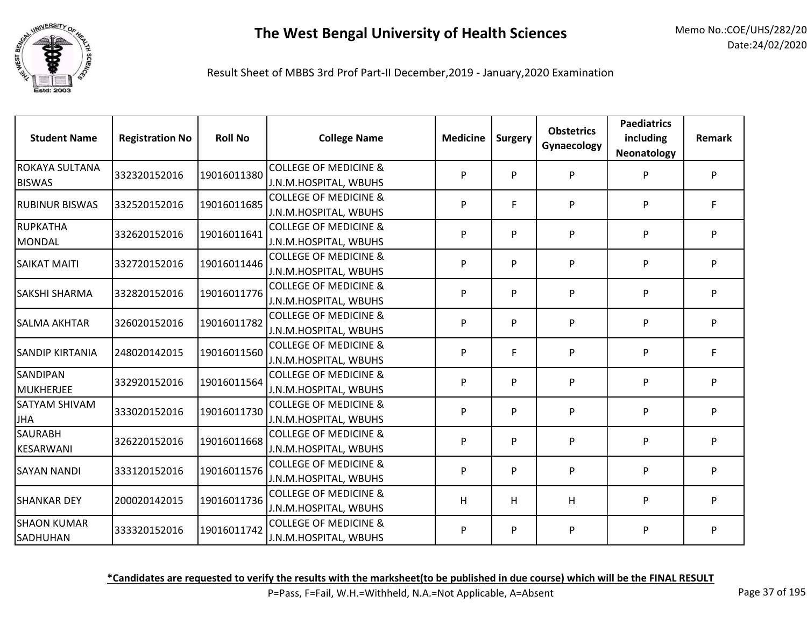

Result Sheet of MBBS 3rd Prof Part-II December,2019 - January,2020 Examination

| <b>Student Name</b>              | <b>Registration No</b> | <b>Roll No</b> | <b>College Name</b>                                       | <b>Medicine</b> | Surgery | <b>Obstetrics</b><br>Gynaecology | <b>Paediatrics</b><br>including<br>Neonatology | <b>Remark</b> |
|----------------------------------|------------------------|----------------|-----------------------------------------------------------|-----------------|---------|----------------------------------|------------------------------------------------|---------------|
| ROKAYA SULTANA<br><b>BISWAS</b>  | 332320152016           | 19016011380    | <b>COLLEGE OF MEDICINE &amp;</b><br>J.N.M.HOSPITAL, WBUHS | P               | P       | P                                | P                                              | P             |
| <b>RUBINUR BISWAS</b>            | 332520152016           | 19016011685    | <b>COLLEGE OF MEDICINE &amp;</b><br>J.N.M.HOSPITAL, WBUHS | P               | F       | P                                | P                                              | F.            |
| <b>RUPKATHA</b><br><b>MONDAL</b> | 332620152016           | 19016011641    | <b>COLLEGE OF MEDICINE &amp;</b><br>J.N.M.HOSPITAL, WBUHS | P               | P       | P                                | P                                              | P             |
| <b>SAIKAT MAITI</b>              | 332720152016           | 19016011446    | <b>COLLEGE OF MEDICINE &amp;</b><br>J.N.M.HOSPITAL, WBUHS | P               | P       | P                                | P                                              | P             |
| SAKSHI SHARMA                    | 332820152016           | 19016011776    | <b>COLLEGE OF MEDICINE &amp;</b><br>J.N.M.HOSPITAL, WBUHS | P               | P       | P                                | P                                              | P             |
| <b>SALMA AKHTAR</b>              | 326020152016           | 19016011782    | <b>COLLEGE OF MEDICINE &amp;</b><br>J.N.M.HOSPITAL, WBUHS | P               | P       | P                                | P                                              | P             |
| <b>SANDIP KIRTANIA</b>           | 248020142015           | 19016011560    | <b>COLLEGE OF MEDICINE &amp;</b><br>J.N.M.HOSPITAL, WBUHS | P               | F       | P                                | P                                              | F.            |
| SANDIPAN<br><b>MUKHERJEE</b>     | 332920152016           | 19016011564    | <b>COLLEGE OF MEDICINE &amp;</b><br>J.N.M.HOSPITAL, WBUHS | P               | P       | P                                | P                                              | P             |
| SATYAM SHIVAM<br><b>JHA</b>      | 333020152016           | 19016011730    | <b>COLLEGE OF MEDICINE &amp;</b><br>J.N.M.HOSPITAL, WBUHS | P               | P       | P                                | P                                              | P             |
| <b>SAURABH</b><br>KESARWANI      | 326220152016           | 19016011668    | <b>COLLEGE OF MEDICINE &amp;</b><br>J.N.M.HOSPITAL, WBUHS | P               | P       | P                                | P                                              | P             |
| <b>SAYAN NANDI</b>               | 333120152016           | 19016011576    | <b>COLLEGE OF MEDICINE &amp;</b><br>J.N.M.HOSPITAL, WBUHS | P               | P       | P                                | P                                              | P             |
| <b>SHANKAR DEY</b>               | 200020142015           | 19016011736    | <b>COLLEGE OF MEDICINE &amp;</b><br>J.N.M.HOSPITAL, WBUHS | н               | H       | н                                | P                                              | P             |
| <b>SHAON KUMAR</b><br>SADHUHAN   | 333320152016           | 19016011742    | <b>COLLEGE OF MEDICINE &amp;</b><br>J.N.M.HOSPITAL, WBUHS | P               | P       | P                                | P                                              | P             |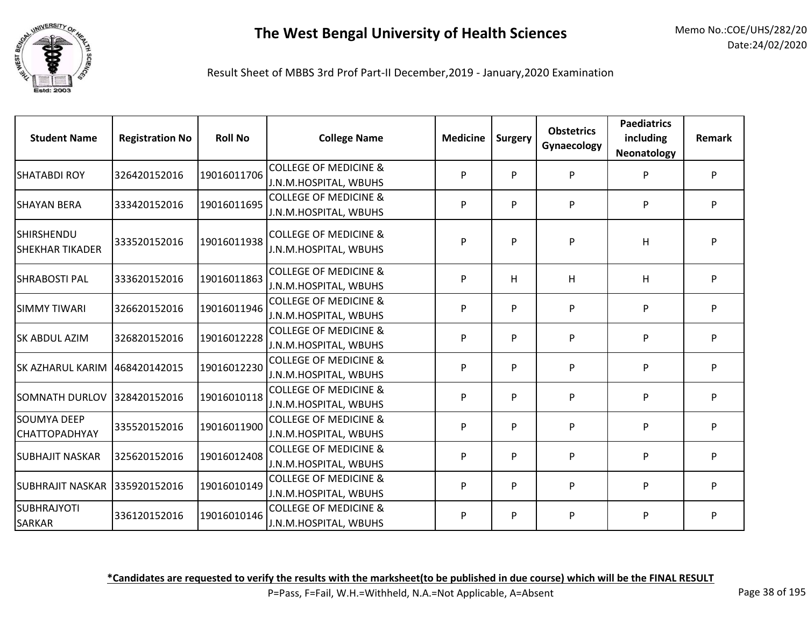

Result Sheet of MBBS 3rd Prof Part-II December,2019 - January,2020 Examination

| <b>Student Name</b>                         | <b>Registration No</b> | <b>Roll No</b> | <b>College Name</b>                                       | <b>Medicine</b> | <b>Surgery</b> | <b>Obstetrics</b><br>Gynaecology | <b>Paediatrics</b><br>including<br>Neonatology | Remark |
|---------------------------------------------|------------------------|----------------|-----------------------------------------------------------|-----------------|----------------|----------------------------------|------------------------------------------------|--------|
| <b>SHATABDI ROY</b>                         | 326420152016           | 19016011706    | <b>COLLEGE OF MEDICINE &amp;</b><br>J.N.M.HOSPITAL, WBUHS | P               | P              | P                                | P                                              | P      |
| <b>SHAYAN BERA</b>                          | 333420152016           | 19016011695    | <b>COLLEGE OF MEDICINE &amp;</b><br>J.N.M.HOSPITAL, WBUHS | P               | P              | P                                | P                                              | P      |
| <b>SHIRSHENDU</b><br><b>SHEKHAR TIKADER</b> | 333520152016           | 19016011938    | <b>COLLEGE OF MEDICINE &amp;</b><br>J.N.M.HOSPITAL, WBUHS | P               | P              | P                                | H                                              | P      |
| <b>SHRABOSTI PAL</b>                        | 333620152016           | 19016011863    | <b>COLLEGE OF MEDICINE &amp;</b><br>J.N.M.HOSPITAL, WBUHS | P               | H              | H                                | H                                              | P      |
| <b>SIMMY TIWARI</b>                         | 326620152016           | 19016011946    | <b>COLLEGE OF MEDICINE &amp;</b><br>J.N.M.HOSPITAL, WBUHS | P               | P              | P                                | P                                              | P.     |
| <b>SK ABDUL AZIM</b>                        | 326820152016           | 19016012228    | <b>COLLEGE OF MEDICINE &amp;</b><br>J.N.M.HOSPITAL, WBUHS | P               | P              | P                                | P                                              | P      |
| <b>SK AZHARUL KARIM</b>                     | 468420142015           | 19016012230    | <b>COLLEGE OF MEDICINE &amp;</b><br>J.N.M.HOSPITAL, WBUHS | P               | P              | P                                | P                                              | P      |
| <b>SOMNATH DURLOV</b>                       | 328420152016           | 19016010118    | <b>COLLEGE OF MEDICINE &amp;</b><br>J.N.M.HOSPITAL, WBUHS | P               | P              | P                                | P                                              | P      |
| <b>SOUMYA DEEP</b><br><b>CHATTOPADHYAY</b>  | 335520152016           | 19016011900    | <b>COLLEGE OF MEDICINE &amp;</b><br>J.N.M.HOSPITAL, WBUHS | P               | P              | P                                | P                                              | P      |
| <b>SUBHAJIT NASKAR</b>                      | 325620152016           | 19016012408    | <b>COLLEGE OF MEDICINE &amp;</b><br>J.N.M.HOSPITAL, WBUHS | P               | P              | P                                | P                                              | P      |
| SUBHRAJIT NASKAR   335920152016             |                        | 19016010149    | <b>COLLEGE OF MEDICINE &amp;</b><br>J.N.M.HOSPITAL, WBUHS | P               | P              | P                                | P                                              | P      |
| SUBHRAJYOTI<br>SARKAR                       | 336120152016           | 19016010146    | <b>COLLEGE OF MEDICINE &amp;</b><br>J.N.M.HOSPITAL, WBUHS | P               | P              | P                                | P                                              | P      |